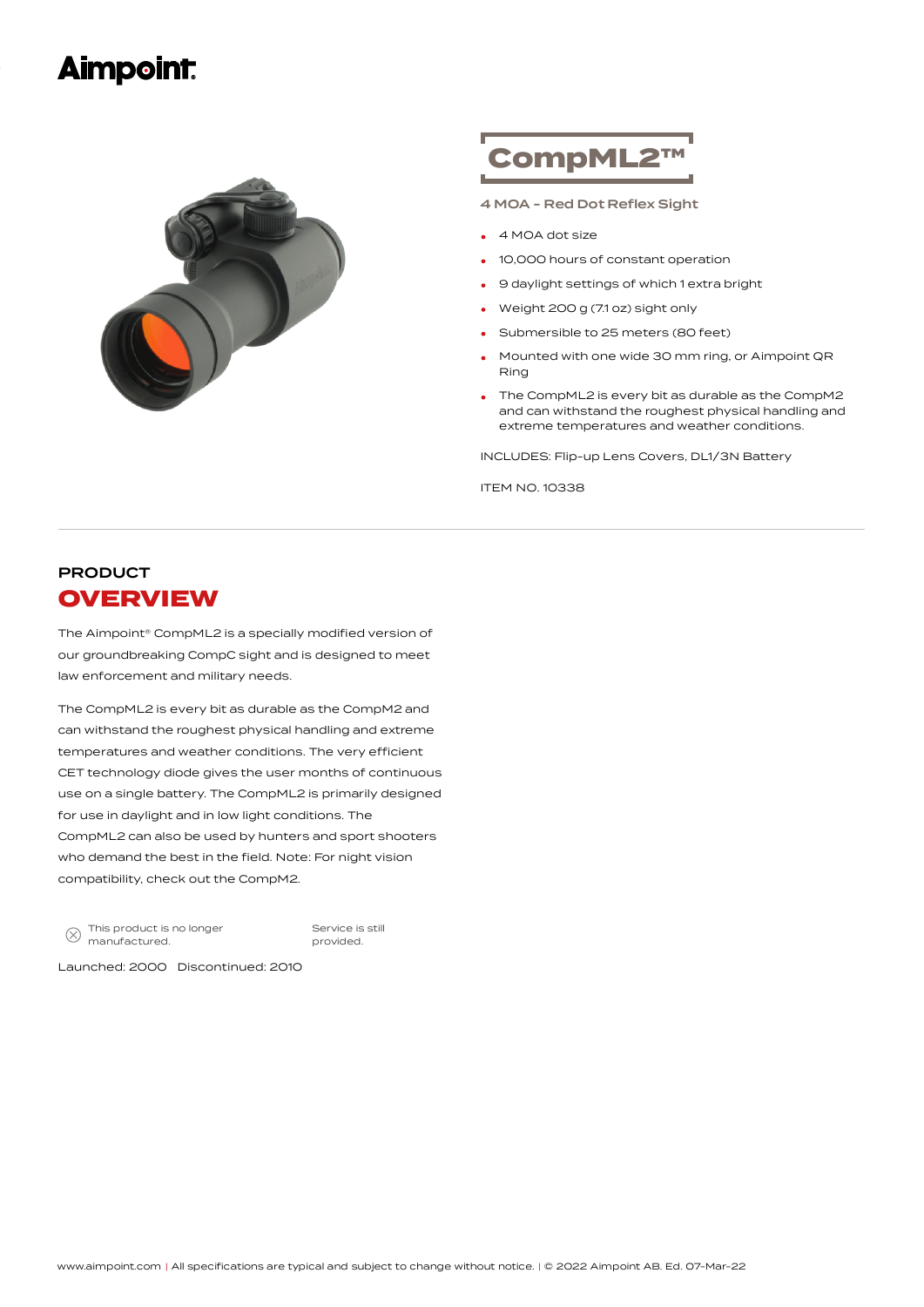### **Aimpoint:**



# CompML2™

4 MOA - Red Dot Reflex Sight

- <sup>4</sup> MOA dot size
- 10,000 hours of constant operation
- <sup>9</sup> daylight settings of which <sup>1</sup> extra bright
- Weight <sup>200</sup> <sup>g</sup> (7.1 oz) sight only
- Submersible to <sup>25</sup> meters (80 feet)
- Mounted with one wide 30 mm ring, or Aimpoint QR Ring •
- The CompML2 is every bit as durable as the CompM2 and can withstand the roughest physical handling and extreme temperatures and weather conditions.

INCLUDES: Flip-up Lens Covers, DL1/3N Battery

ITEM NO. 10338

### PRODUCT **OVERVIEW**

The Aimpoint® CompML2 is a specially modified version of our groundbreaking CompC sight and is designed to meet law enforcement and military needs.

The CompML2 is every bit as durable as the CompM2 and can withstand the roughest physical handling and extreme temperatures and weather conditions. The very efficient CET technology diode gives the user months of continuous use on a single battery. The CompML2 is primarily designed for use in daylight and in low light conditions. The CompML2 can also be used by hunters and sport shooters who demand the best in the field. Note: For night vision compatibility, check out the CompM2.

This product is no longer  $\otimes$ manufactured.

Service is still provided.

Launched: 2000 Discontinued: 2010